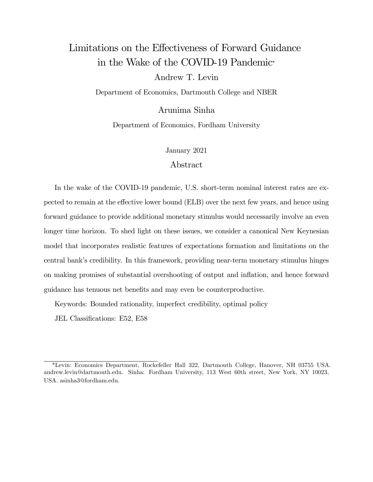# Limitations on the Effectiveness of Forward Guidance in the Wake of the COVID-19 Pandemic

Andrew T. Levin

Department of Economics, Dartmouth College and NBER

Arunima Sinha

Department of Economics, Fordham University

January 2021

#### Abstract

In the wake of the COVID-19 pandemic, U.S. short-term nominal interest rates are expected to remain at the effective lower bound (ELB) over the next few years, and hence using forward guidance to provide additional monetary stimulus would necessarily involve an even longer time horizon. To shed light on these issues, we consider a canonical New Keynesian model that incorporates realistic features of expectations formation and limitations on the central bank's credibility. In this framework, providing near-term monetary stimulus hinges on making promises of substantial overshooting of output and ináation, and hence forward guidance has tenuous net benefits and may even be counterproductive.

Keywords: Bounded rationality, imperfect credibility, optimal policy

JEL Classifications: E52, E58

<sup>\*</sup>Levin: Economics Department, Rockefeller Hall 322, Dartmouth College, Hanover, NH 03755 USA. andrew.levin@dartmouth.edu. Sinha: Fordham University, 113 West 60th street, New York, NY 10023, USA. asinha3@fordham.edu.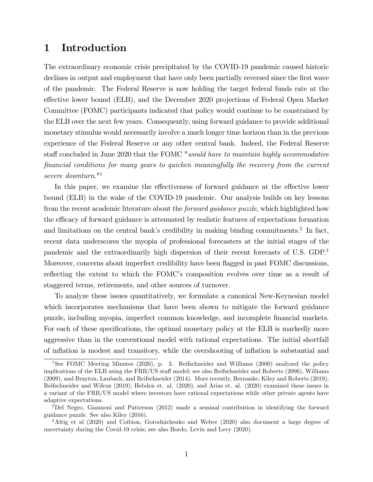## 1 Introduction

The extraordinary economic crisis precipitated by the COVID-19 pandemic caused historic declines in output and employment that have only been partially reversed since the first wave of the pandemic. The Federal Reserve is now holding the target federal funds rate at the effective lower bound (ELB), and the December 2020 projections of Federal Open Market Committee (FOMC) participants indicated that policy would continue to be constrained by the ELB over the next few years. Consequently, using forward guidance to provide additional monetary stimulus would necessarily involve a much longer time horizon than in the previous experience of the Federal Reserve or any other central bank. Indeed, the Federal Reserve staff concluded in June 2020 that the FOMC "would have to maintain highly accommodative Önancial conditions for many years to quicken meaningfully the recovery from the current severe downturn." 1

In this paper, we examine the effectiveness of forward guidance at the effective lower bound (ELB) in the wake of the COVID-19 pandemic. Our analysis builds on key lessons from the recent academic literature about the *forward quidance puzzle*, which highlighted how the efficacy of forward guidance is attenuated by realistic features of expectations formation and limitations on the central bank's credibility in making binding commitments.<sup>2</sup> In fact, recent data underscores the myopia of professional forecasters at the initial stages of the pandemic and the extraordinarily high dispersion of their recent forecasts of U.S. GDP.<sup>3</sup> Moreover, concerns about imperfect credibility have been flagged in past FOMC discussions, reflecting the extent to which the FOMC's composition evolves over time as a result of staggered terms, retirements, and other sources of turnover.

To analyze these issues quantitatively, we formulate a canonical New-Keynesian model which incorporates mechanisms that have been shown to mitigate the forward guidance puzzle, including myopia, imperfect common knowledge, and incomplete Önancial markets. For each of these specifications, the optimal monetary policy at the ELB is markedly more aggressive than in the conventional model with rational expectations. The initial shortfall of ináation is modest and transitory, while the overshooting of ináation is substantial and

<sup>&</sup>lt;sup>1</sup>See FOMC Meeting Minutes (2020), p. 3. Reifschneider and Williams (2000) analyzed the policy implications of the ELB using the FRB/US staff model; see also Reifschneider and Roberts (2006), Williams (2009), and Brayton, Laubach, and Reifschneider (2014). More recently, Bernanke, Kiley and Roberts (2019), Reifschneider and Wilcox (2019), Hebden et. al. (2020), and Arias et. al. (2020) examined these issues in a variant of the FRB/US model where investors have rational expectations while other private agents have adaptive expectations.

<sup>2</sup>Del Negro, Giannoni and Patterson (2012) made a seminal contribution in identifying the forward guidance puzzle. See also Kiley (2016).

<sup>&</sup>lt;sup>3</sup>Altig et al (2020) and Coibion, Gorodnichenko and Weber (2020) also document a large degree of uncertainty during the Covid-19 crisis; see also Bordo, Levin and Levy (2020).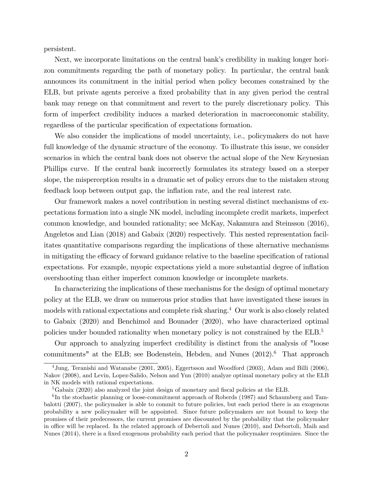persistent.

Next, we incorporate limitations on the central bank's credibility in making longer horizon commitments regarding the path of monetary policy. In particular, the central bank announces its commitment in the initial period when policy becomes constrained by the ELB, but private agents perceive a fixed probability that in any given period the central bank may renege on that commitment and revert to the purely discretionary policy. This form of imperfect credibility induces a marked deterioration in macroeconomic stability, regardless of the particular specification of expectations formation.

We also consider the implications of model uncertainty, i.e., policymakers do not have full knowledge of the dynamic structure of the economy. To illustrate this issue, we consider scenarios in which the central bank does not observe the actual slope of the New Keynesian Phillips curve. If the central bank incorrectly formulates its strategy based on a steeper slope, the misperception results in a dramatic set of policy errors due to the mistaken strong feedback loop between output gap, the ináation rate, and the real interest rate.

Our framework makes a novel contribution in nesting several distinct mechanisms of expectations formation into a single NK model, including incomplete credit markets, imperfect common knowledge, and bounded rationality; see McKay, Nakamura and Steinsson (2016), Angeletos and Lian (2018) and Gabaix (2020) respectively. This nested representation facilitates quantitative comparisons regarding the implications of these alternative mechanisms in mitigating the efficacy of forward guidance relative to the baseline specification of rational expectations. For example, myopic expectations yield a more substantial degree of inflation overshooting than either imperfect common knowledge or incomplete markets.

In characterizing the implications of these mechanisms for the design of optimal monetary policy at the ELB, we draw on numerous prior studies that have investigated these issues in models with rational expectations and complete risk sharing.<sup>4</sup> Our work is also closely related to Gabaix (2020) and Benchimol and Bounader (2020), who have characterized optimal policies under bounded rationality when monetary policy is not constrained by the ELB.<sup>5</sup>

Our approach to analyzing imperfect credibility is distinct from the analysis of "loose commitments" at the ELB; see Bodenstein, Hebden, and Nunes  $(2012).<sup>6</sup>$  That approach

<sup>4</sup>Jung, Teranishi and Watanabe (2001, 2005), Eggertsson and Woodford (2003), Adam and Billi (2006), Nakov (2008), and Levin, Lopez-Salido, Nelson and Yun (2010) analyze optimal monetary policy at the ELB in NK models with rational expectations.

 ${}^{5}$ Gabaix (2020) also analyzed the joint design of monetary and fiscal policies at the ELB.

<sup>&</sup>lt;sup>6</sup>In the stochastic planning or loose-commitment approach of Roberds (1987) and Schaumberg and Tambalotti (2007), the policymaker is able to commit to future policies, but each period there is an exogenous probability a new policymaker will be appointed. Since future policymakers are not bound to keep the promises of their predecessors, the current promises are discounted by the probability that the policymaker in office will be replaced. In the related approach of Debertoli and Nunes (2010), and Debortoli, Maih and Nunes (2014), there is a fixed exogenous probability each period that the policymaker reoptimizes. Since the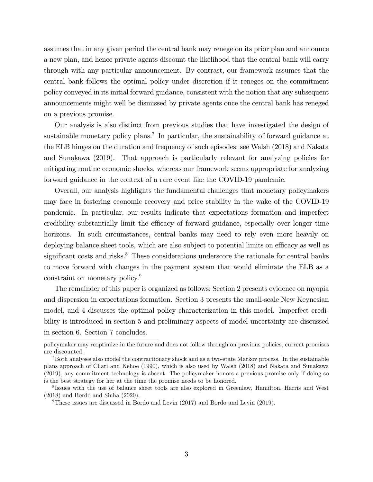assumes that in any given period the central bank may renege on its prior plan and announce a new plan, and hence private agents discount the likelihood that the central bank will carry through with any particular announcement. By contrast, our framework assumes that the central bank follows the optimal policy under discretion if it reneges on the commitment policy conveyed in its initial forward guidance, consistent with the notion that any subsequent announcements might well be dismissed by private agents once the central bank has reneged on a previous promise.

Our analysis is also distinct from previous studies that have investigated the design of sustainable monetary policy plans.<sup>7</sup> In particular, the sustainability of forward guidance at the ELB hinges on the duration and frequency of such episodes; see Walsh (2018) and Nakata and Sunakawa (2019). That approach is particularly relevant for analyzing policies for mitigating routine economic shocks, whereas our framework seems appropriate for analyzing forward guidance in the context of a rare event like the COVID-19 pandemic.

Overall, our analysis highlights the fundamental challenges that monetary policymakers may face in fostering economic recovery and price stability in the wake of the COVID-19 pandemic. In particular, our results indicate that expectations formation and imperfect credibility substantially limit the efficacy of forward guidance, especially over longer time horizons. In such circumstances, central banks may need to rely even more heavily on deploying balance sheet tools, which are also subject to potential limits on efficacy as well as significant costs and risks. $8$  These considerations underscore the rationale for central banks to move forward with changes in the payment system that would eliminate the ELB as a constraint on monetary policy.<sup>9</sup>

The remainder of this paper is organized as follows: Section 2 presents evidence on myopia and dispersion in expectations formation. Section 3 presents the small-scale New Keynesian model, and 4 discusses the optimal policy characterization in this model. Imperfect credibility is introduced in section 5 and preliminary aspects of model uncertainty are discussed in section 6. Section 7 concludes.

policymaker may reoptimize in the future and does not follow through on previous policies, current promises are discounted.

<sup>7</sup>Both analyses also model the contractionary shock and as a two-state Markov process. In the sustainable plans approach of Chari and Kehoe (1990), which is also used by Walsh (2018) and Nakata and Sunakawa (2019), any commitment technology is absent. The policymaker honors a previous promise only if doing so is the best strategy for her at the time the promise needs to be honored.

<sup>&</sup>lt;sup>8</sup>Issues with the use of balance sheet tools are also explored in Greenlaw, Hamilton, Harris and West (2018) and Bordo and Sinha (2020).

<sup>9</sup>These issues are discussed in Bordo and Levin (2017) and Bordo and Levin (2019).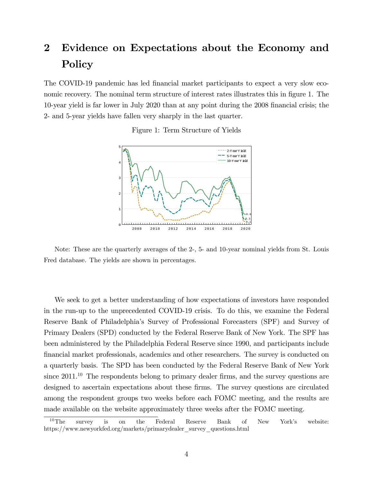# 2 Evidence on Expectations about the Economy and Policy

The COVID-19 pandemic has led financial market participants to expect a very slow economic recovery. The nominal term structure of interest rates illustrates this in figure 1. The 10-year yield is far lower in July 2020 than at any point during the 2008 financial crisis; the 2- and 5-year yields have fallen very sharply in the last quarter.

Figure 1: Term Structure of Yields



Note: These are the quarterly averages of the 2-, 5- and 10-year nominal yields from St. Louis Fred database. The yields are shown in percentages.

We seek to get a better understanding of how expectations of investors have responded in the run-up to the unprecedented COVID-19 crisis. To do this, we examine the Federal Reserve Bank of Philadelphiaís Survey of Professional Forecasters (SPF) and Survey of Primary Dealers (SPD) conducted by the Federal Reserve Bank of New York. The SPF has been administered by the Philadelphia Federal Reserve since 1990, and participants include Önancial market professionals, academics and other researchers. The survey is conducted on a quarterly basis. The SPD has been conducted by the Federal Reserve Bank of New York since  $2011<sup>10</sup>$  The respondents belong to primary dealer firms, and the survey questions are designed to ascertain expectations about these firms. The survey questions are circulated among the respondent groups two weeks before each FOMC meeting, and the results are made available on the website approximately three weeks after the FOMC meeting.

<sup>&</sup>lt;sup>10</sup>The survey is on the Federal Reserve Bank of New York's website: https://www.newyorkfed.org/markets/primarydealer\_survey\_questions.html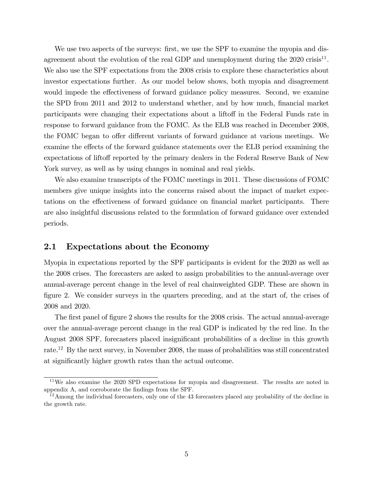We use two aspects of the surveys: first, we use the SPF to examine the myopia and disagreement about the evolution of the real GDP and unemployment during the  $2020$  crisis<sup>11</sup>. We also use the SPF expectations from the 2008 crisis to explore these characteristics about investor expectations further. As our model below shows, both myopia and disagreement would impede the effectiveness of forward guidance policy measures. Second, we examine the SPD from 2011 and 2012 to understand whether, and by how much, financial market participants were changing their expectations about a liftoff in the Federal Funds rate in response to forward guidance from the FOMC. As the ELB was reached in December 2008, the FOMC began to offer different variants of forward guidance at various meetings. We examine the effects of the forward guidance statements over the ELB period examining the expectations of liftoff reported by the primary dealers in the Federal Reserve Bank of New York survey, as well as by using changes in nominal and real yields.

We also examine transcripts of the FOMC meetings in 2011. These discussions of FOMC members give unique insights into the concerns raised about the impact of market expectations on the effectiveness of forward guidance on financial market participants. There are also insightful discussions related to the formulation of forward guidance over extended periods.

#### 2.1 Expectations about the Economy

Myopia in expectations reported by the SPF participants is evident for the 2020 as well as the 2008 crises. The forecasters are asked to assign probabilities to the annual-average over annual-average percent change in the level of real chainweighted GDP. These are shown in figure 2. We consider surveys in the quarters preceding, and at the start of, the crises of 2008 and 2020.

The first panel of figure 2 shows the results for the 2008 crisis. The actual annual-average over the annual-average percent change in the real GDP is indicated by the red line. In the August 2008 SPF, forecasters placed insignificant probabilities of a decline in this growth rate.<sup>12</sup> By the next survey, in November 2008, the mass of probabilities was still concentrated at significantly higher growth rates than the actual outcome.

<sup>&</sup>lt;sup>11</sup>We also examine the 2020 SPD expectations for myopia and disagreement. The results are noted in appendix A, and corroborate the Öndings from the SPF.

 $12$ Among the individual forecasters, only one of the 43 forecasters placed any probability of the decline in the growth rate.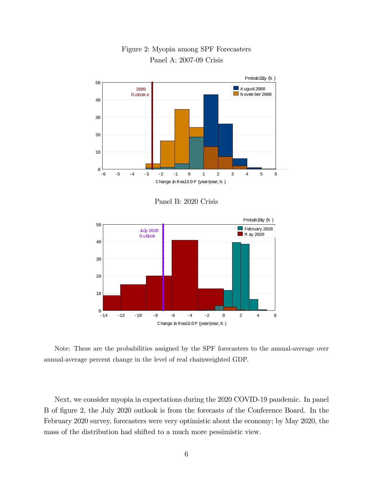

Figure 2: Myopia among SPF Forecasters Panel A: 2007-09 Crisis

Panel B: 2020 Crisis



Note: These are the probabilities assigned by the SPF forecasters to the annual-average over annual-average percent change in the level of real chainweighted GDP.

Next, we consider myopia in expectations during the 2020 COVID-19 pandemic. In panel B of Ögure 2, the July 2020 outlook is from the forecasts of the Conference Board. In the February 2020 survey, forecasters were very optimistic about the economy; by May 2020, the mass of the distribution had shifted to a much more pessimistic view.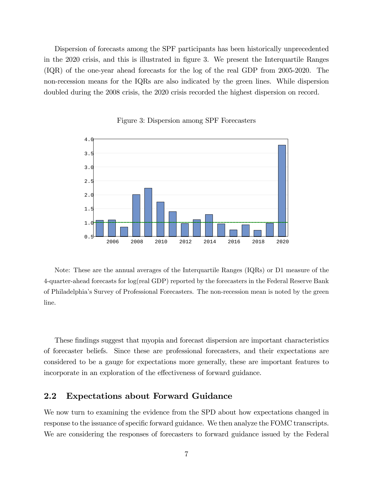Dispersion of forecasts among the SPF participants has been historically unprecedented in the 2020 crisis, and this is illustrated in figure 3. We present the Interquartile Ranges (IQR) of the one-year ahead forecasts for the log of the real GDP from 2005-2020. The non-recession means for the IQRs are also indicated by the green lines. While dispersion doubled during the 2008 crisis, the 2020 crisis recorded the highest dispersion on record.



#### Figure 3: Dispersion among SPF Forecasters

Note: These are the annual averages of the Interquartile Ranges (IQRs) or D1 measure of the 4-quarter-ahead forecasts for log(real GDP) reported by the forecasters in the Federal Reserve Bank of Philadelphiaís Survey of Professional Forecasters. The non-recession mean is noted by the green line.

These findings suggest that myopia and forecast dispersion are important characteristics of forecaster beliefs. Since these are professional forecasters, and their expectations are considered to be a gauge for expectations more generally, these are important features to incorporate in an exploration of the effectiveness of forward guidance.

#### 2.2 Expectations about Forward Guidance

We now turn to examining the evidence from the SPD about how expectations changed in response to the issuance of specific forward guidance. We then analyze the FOMC transcripts. We are considering the responses of forecasters to forward guidance issued by the Federal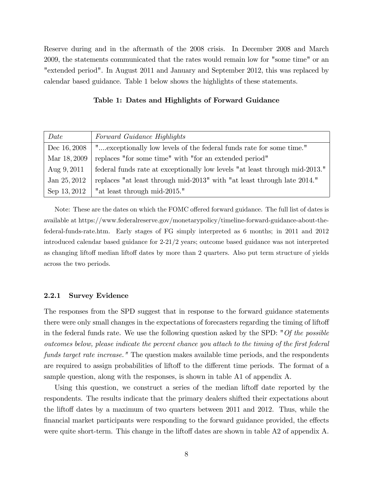Reserve during and in the aftermath of the 2008 crisis. In December 2008 and March 2009, the statements communicated that the rates would remain low for "some time" or an "extended period". In August 2011 and January and September 2012, this was replaced by calendar based guidance. Table 1 below shows the highlights of these statements.

#### Table 1: Dates and Highlights of Forward Guidance

| Date         | Forward Guidance Highlights                                                 |
|--------------|-----------------------------------------------------------------------------|
| Dec 16, 2008 | "exceptionally low levels of the federal funds rate for some time."         |
| Mar 18, 2009 | replaces "for some time" with "for an extended period"                      |
| Aug $9,2011$ | federal funds rate at exceptionally low levels "at least through mid-2013." |
| Jan 25, 2012 | replaces "at least through mid-2013" with "at least through late 2014."     |
| Sep 13, 2012 | "at least through mid-2015."                                                |

Note: These are the dates on which the FOMC offered forward guidance. The full list of dates is available at https://www.federalreserve.gov/monetarypolicy/timeline-forward-guidance-about-thefederal-funds-rate.htm. Early stages of FG simply interpreted as 6 months; in 2011 and 2012 introduced calendar based guidance for 2-21/2 years; outcome based guidance was not interpreted as changing liftoff median liftoff dates by more than 2 quarters. Also put term structure of yields across the two periods.

#### 2.2.1 Survey Evidence

The responses from the SPD suggest that in response to the forward guidance statements there were only small changes in the expectations of forecasters regarding the timing of liftoff in the federal funds rate. We use the following question asked by the SPD: "Of the possible outcomes below, please indicate the percent chance you attach to the timing of the Örst federal funds target rate increase." The question makes available time periods, and the respondents are required to assign probabilities of liftoff to the different time periods. The format of a sample question, along with the responses, is shown in table A1 of appendix A.

Using this question, we construct a series of the median liftoff date reported by the respondents. The results indicate that the primary dealers shifted their expectations about the liftoff dates by a maximum of two quarters between 2011 and 2012. Thus, while the financial market participants were responding to the forward guidance provided, the effects were quite short-term. This change in the liftoff dates are shown in table  $A2$  of appendix  $A$ .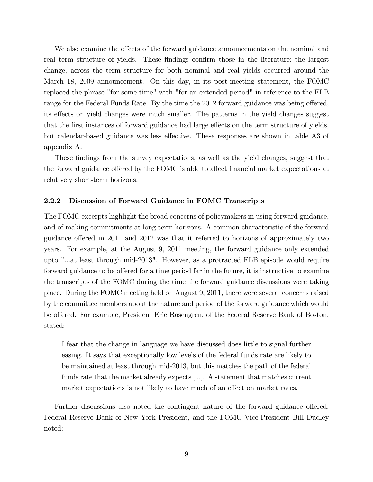We also examine the effects of the forward guidance announcements on the nominal and real term structure of yields. These findings confirm those in the literature: the largest change, across the term structure for both nominal and real yields occurred around the March 18, 2009 announcement. On this day, in its post-meeting statement, the FOMC replaced the phrase "for some time" with "for an extended period" in reference to the ELB range for the Federal Funds Rate. By the time the 2012 forward guidance was being offered, its effects on yield changes were much smaller. The patterns in the yield changes suggest that the first instances of forward guidance had large effects on the term structure of yields, but calendar-based guidance was less effective. These responses are shown in table A3 of appendix A.

These findings from the survey expectations, as well as the yield changes, suggest that the forward guidance offered by the FOMC is able to affect financial market expectations at relatively short-term horizons.

#### 2.2.2 Discussion of Forward Guidance in FOMC Transcripts

The FOMC excerpts highlight the broad concerns of policymakers in using forward guidance, and of making commitments at long-term horizons. A common characteristic of the forward guidance offered in 2011 and 2012 was that it referred to horizons of approximately two years. For example, at the August 9, 2011 meeting, the forward guidance only extended upto "...at least through mid-2013". However, as a protracted ELB episode would require forward guidance to be offered for a time period far in the future, it is instructive to examine the transcripts of the FOMC during the time the forward guidance discussions were taking place. During the FOMC meeting held on August 9, 2011, there were several concerns raised by the committee members about the nature and period of the forward guidance which would be offered. For example, President Eric Rosengren, of the Federal Reserve Bank of Boston, stated:

I fear that the change in language we have discussed does little to signal further easing. It says that exceptionally low levels of the federal funds rate are likely to be maintained at least through mid-2013, but this matches the path of the federal funds rate that the market already expects [...]. A statement that matches current market expectations is not likely to have much of an effect on market rates.

Further discussions also noted the contingent nature of the forward guidance offered. Federal Reserve Bank of New York President, and the FOMC Vice-President Bill Dudley noted: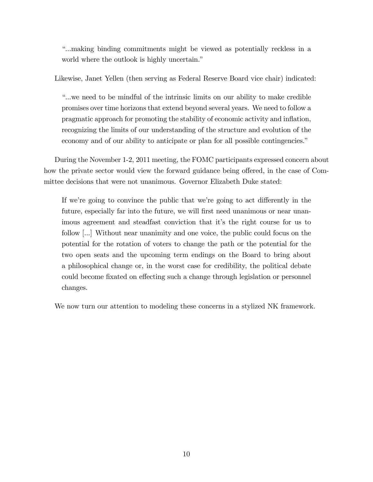ì...making binding commitments might be viewed as potentially reckless in a world where the outlook is highly uncertain."

Likewise, Janet Yellen (then serving as Federal Reserve Board vice chair) indicated:

ì...we need to be mindful of the intrinsic limits on our ability to make credible promises over time horizons that extend beyond several years. We need to follow a pragmatic approach for promoting the stability of economic activity and ináation, recognizing the limits of our understanding of the structure and evolution of the economy and of our ability to anticipate or plan for all possible contingencies.<sup>"</sup>

During the November 1-2, 2011 meeting, the FOMC participants expressed concern about how the private sector would view the forward guidance being offered, in the case of Committee decisions that were not unanimous. Governor Elizabeth Duke stated:

If we're going to convince the public that we're going to act differently in the future, especially far into the future, we will first need unanimous or near unanimous agreement and steadfast conviction that it's the right course for us to follow [...] Without near unanimity and one voice, the public could focus on the potential for the rotation of voters to change the path or the potential for the two open seats and the upcoming term endings on the Board to bring about a philosophical change or, in the worst case for credibility, the political debate could become fixated on effecting such a change through legislation or personnel changes.

We now turn our attention to modeling these concerns in a stylized NK framework.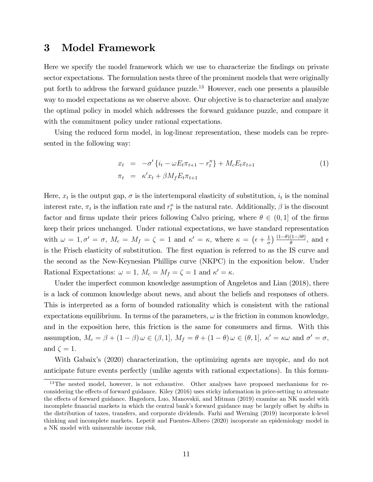## 3 Model Framework

Here we specify the model framework which we use to characterize the findings on private sector expectations. The formulation nests three of the prominent models that were originally put forth to address the forward guidance puzzle.<sup>13</sup> However, each one presents a plausible way to model expectations as we observe above. Our objective is to characterize and analyze the optimal policy in model which addresses the forward guidance puzzle, and compare it with the commitment policy under rational expectations.

Using the reduced form model, in log-linear representation, these models can be represented in the following way:

$$
x_t = -\sigma' \{ i_t - \omega E_t \pi_{t+1} - r_t^n \} + M_c E_t x_{t+1}
$$
  
\n
$$
\pi_t = \kappa' x_t + \beta M_f E_t \pi_{t+1}
$$
\n(1)

Here,  $x_t$  is the output gap,  $\sigma$  is the intertemporal elasticity of substitution,  $i_t$  is the nominal interest rate,  $\pi_t$  is the inflation rate and  $r_t^n$  is the natural rate. Additionally,  $\beta$  is the discount factor and firms update their prices following Calvo pricing, where  $\theta \in (0, 1]$  of the firms keep their prices unchanged. Under rational expectations, we have standard representation with  $\omega = 1, \sigma' = \sigma$ ,  $M_c = M_f = \zeta = 1$  and  $\kappa' = \kappa$ , where  $\kappa = (\epsilon + \frac{1}{\sigma})$  $\left(\frac{1}{\sigma}\right) \frac{(1-\theta)(1-\beta\theta)}{\theta}$ , and  $\epsilon$ is the Frisch elasticity of substitution. The first equation is referred to as the IS curve and the second as the New-Keynesian Phillips curve (NKPC) in the exposition below. Under Rational Expectations:  $\omega = 1, M_c = M_f = \zeta = 1$  and  $\kappa' = \kappa$ .

Under the imperfect common knowledge assumption of Angeletos and Lian (2018), there is a lack of common knowledge about news, and about the beliefs and responses of others. This is interpreted as a form of bounded rationality which is consistent with the rational expectations equilibrium. In terms of the parameters,  $\omega$  is the friction in common knowledge, and in the exposition here, this friction is the same for consumers and firms. With this assumption,  $M_c = \beta + (1 - \beta) \omega \in (\beta, 1], M_f = \theta + (1 - \theta) \omega \in (\theta, 1], \kappa' = \kappa \omega \text{ and } \sigma' = \sigma$ , and  $\zeta = 1$ .

With Gabaix's (2020) characterization, the optimizing agents are myopic, and do not anticipate future events perfectly (unlike agents with rational expectations). In this formu-

<sup>&</sup>lt;sup>13</sup>The nested model, however, is not exhaustive. Other analyses have proposed mechanisms for reconsidering the effects of forward guidance. Kiley (2016) uses sticky information in price-setting to attenuate the effects of forward guidance. Hagedorn, Luo, Manovskii, and Mitman (2019) examine an NK model with incomplete financial markets in which the central bank's forward guidance may be largely offset by shifts in the distribution of taxes, transfers, and corporate dividends. Farhi and Werning (2019) incorporate k-level thinking and incomplete markets. Lepetit and Fuentes-Albero (2020) incoporate an epidemiology model in a NK model with uninsurable income risk.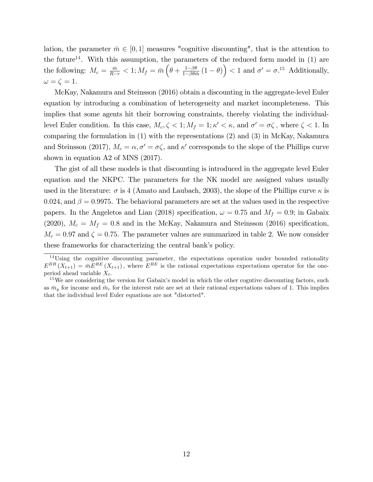lation, the parameter  $\bar{m} \in [0, 1]$  measures "cognitive discounting", that is the attention to the future<sup>14</sup>. With this assumption, the parameters of the reduced form model in  $(1)$  are the following:  $M_c = \frac{\bar{m}}{R-r} < 1; M_f = \bar{m} \left( \theta + \frac{1-\beta\theta}{1-\beta\theta\bar{r}} \right)$  $\frac{1-\beta\theta}{1-\beta\theta\bar{m}}(1-\theta)\right) < 1$  and  $\sigma' = \sigma^{15}$  Additionally,  $\omega = \zeta = 1.$ 

McKay, Nakamura and Steinsson (2016) obtain a discounting in the aggregate-level Euler equation by introducing a combination of heterogeneity and market incompleteness. This implies that some agents hit their borrowing constraints, thereby violating the individuallevel Euler condition. In this case,  $M_c, \zeta < 1$ ;  $M_f = 1$ ;  $\kappa' < \kappa$ , and  $\sigma' = \sigma \zeta$ , where  $\zeta < 1$ . In comparing the formulation in (1) with the representations (2) and (3) in McKay, Nakamura and Steinsson (2017),  $M_c = \alpha, \sigma' = \sigma \zeta$ , and  $\kappa'$  corresponds to the slope of the Phillips curve shown in equation A2 of MNS (2017).

The gist of all these models is that discounting is introduced in the aggregate level Euler equation and the NKPC. The parameters for the NK model are assigned values usually used in the literature:  $\sigma$  is 4 (Amato and Laubach, 2003), the slope of the Phillips curve  $\kappa$  is 0.024, and  $\beta = 0.9975$ . The behavioral parameters are set at the values used in the respective papers. In the Angeletos and Lian (2018) specification,  $\omega = 0.75$  and  $M_f = 0.9$ ; in Gabaix (2020),  $M_c = M_f = 0.8$  and in the McKay, Nakamura and Steinsson (2016) specification,  $M_c = 0.97$  and  $\zeta = 0.75$ . The parameter values are summarized in table 2. We now consider these frameworks for characterizing the central bank's policy.

<sup>&</sup>lt;sup>14</sup>Using the cognitive discounting parameter, the expectations operation under bounded rationality  $E^{BR}(X_{t+1}) = \bar{m}E^{RE}(X_{t+1}),$  where  $E^{RE}$  is the rational expectations expectations operator for the oneperiod ahead variable  $X_t$ .

<sup>&</sup>lt;sup>15</sup>We are considering the version for Gabaix's model in which the other cogntive discounting factors, such as  $\bar{m}_y$  for income and  $\bar{m}_r$  for the interest rate are set at their rational expectations values of 1. This implies that the individual level Euler equations are not "distorted".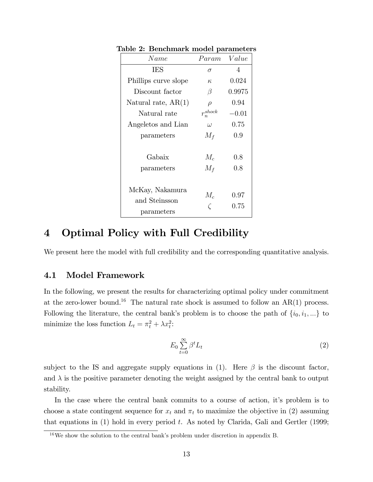| Name                                           | Param          | Value        |
|------------------------------------------------|----------------|--------------|
| <b>IES</b>                                     | $\sigma$       | 4            |
| Phillips curve slope                           | $\kappa$       | 0.024        |
| Discount factor                                | β              | 0.9975       |
| Natural rate, $AR(1)$                          | $\rho$         | 0.94         |
| Natural rate                                   | $r_n^{shock}$  | $-0.01$      |
| Angeletos and Lian                             | $\omega$       | 0.75         |
| parameters                                     | $M_f$          | 0.9          |
| Gabaix<br>parameters                           | $M_c$<br>$M_f$ | 0.8<br>0.8   |
| McKay, Nakamura<br>and Steinsson<br>parameters | $M_c$          | 0.97<br>0.75 |

Table 2: Benchmark model parameters

## 4 Optimal Policy with Full Credibility

We present here the model with full credibility and the corresponding quantitative analysis.

#### 4.1 Model Framework

In the following, we present the results for characterizing optimal policy under commitment at the zero-lower bound.<sup>16</sup> The natural rate shock is assumed to follow an  $AR(1)$  process. Following the literature, the central bank's problem is to choose the path of  $\{i_0, i_1, ...\}$  to minimize the loss function  $L_t = \pi_t^2 + \lambda x_t^2$ :

$$
E_0 \sum_{t=0}^{\infty} \beta^t L_t \tag{2}
$$

subject to the IS and aggregate supply equations in (1). Here  $\beta$  is the discount factor, and  $\lambda$  is the positive parameter denoting the weight assigned by the central bank to output stability.

In the case where the central bank commits to a course of action, it's problem is to choose a state contingent sequence for  $x_t$  and  $\pi_t$  to maximize the objective in (2) assuming that equations in  $(1)$  hold in every period t. As noted by Clarida, Gali and Gertler (1999;

 $16$ We show the solution to the central bank's problem under discretion in appendix B.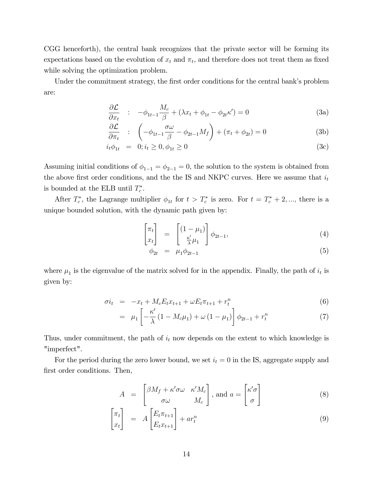CGG henceforth), the central bank recognizes that the private sector will be forming its expectations based on the evolution of  $x_t$  and  $\pi_t$ , and therefore does not treat them as fixed while solving the optimization problem.

Under the commitment strategy, the first order conditions for the central bank's problem are:

$$
\frac{\partial \mathcal{L}}{\partial x_t} : -\phi_{1t-1} \frac{M_c}{\beta} + (\lambda x_t + \phi_{1t} - \phi_{2t} \kappa') = 0 \tag{3a}
$$

$$
\frac{\partial \mathcal{L}}{\partial \pi_t} : \left( -\phi_{1t-1} \frac{\sigma \omega}{\beta} - \phi_{2t-1} M_f \right) + \left( \pi_t + \phi_{2t} \right) = 0 \tag{3b}
$$

$$
i_t \phi_{1t} = 0; i_t \ge 0, \phi_{1t} \ge 0
$$
\n(3c)

Assuming initial conditions of  $\phi_{1-1} = \phi_{2-1} = 0$ , the solution to the system is obtained from the above first order conditions, and the the IS and NKPC curves. Here we assume that  $i_t$ is bounded at the ELB until  $T_c^*$ .

After  $T_c^*$ , the Lagrange multiplier  $\phi_{1t}$  for  $t > T_c^*$  is zero. For  $t = T_c^* + 2, \dots$ , there is a unique bounded solution, with the dynamic path given by:

$$
\begin{bmatrix} \pi_t \\ x_t \end{bmatrix} = \begin{bmatrix} (1 - \mu_1) \\ \frac{\kappa'}{\lambda} \mu_1 \end{bmatrix} \phi_{2t-1}, \tag{4}
$$

$$
\phi_{2t} = \mu_1 \phi_{2t-1} \tag{5}
$$

where  $\mu_1$  is the eigenvalue of the matrix solved for in the appendix. Finally, the path of  $i_t$  is given by:

$$
\sigma i_t = -x_t + M_c E_t x_{t+1} + \omega E_t \pi_{t+1} + r_t^n
$$
\n(6)

$$
= \mu_1 \left[ -\frac{\kappa'}{\lambda} \left( 1 - M_c \mu_1 \right) + \omega \left( 1 - \mu_1 \right) \right] \phi_{2t-1} + r_t^n \tag{7}
$$

Thus, under commitment, the path of  $i_t$  now depends on the extent to which knowledge is "imperfect".

For the period during the zero lower bound, we set  $i_t = 0$  in the IS, aggregate supply and first order conditions. Then,

$$
A = \begin{bmatrix} \beta M_f + \kappa' \sigma \omega & \kappa' M_c \\ \sigma \omega & M_c \end{bmatrix}, \text{ and } a = \begin{bmatrix} \kappa' \sigma \\ \sigma \end{bmatrix}
$$
 (8)

$$
\begin{bmatrix} \pi_t \\ x_t \end{bmatrix} = A \begin{bmatrix} E_t \pi_{t+1} \\ E_t x_{t+1} \end{bmatrix} + ar_t^n \tag{9}
$$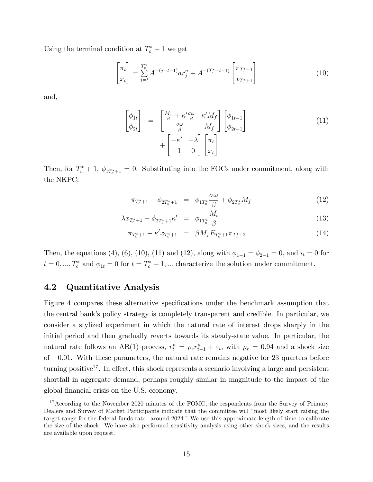Using the terminal condition at  $T_c^* + 1$  we get

$$
\begin{bmatrix} \pi_t \\ x_t \end{bmatrix} = \sum_{j=t}^{T_c^*} A^{-(j-t-1)} a r_j^n + A^{-(T_c^* - t + 1)} \begin{bmatrix} \pi_{T_c^* + 1} \\ x_{T_c^* + 1} \end{bmatrix}
$$
 (10)

and,

$$
\begin{bmatrix}\n\phi_{1t} \\
\phi_{2t}\n\end{bmatrix} = \begin{bmatrix}\n\frac{M_c}{\beta} + \kappa' \frac{\sigma \omega}{\beta} & \kappa' M_f \\
\frac{\sigma \omega}{\beta} & M_f\n\end{bmatrix} \begin{bmatrix}\n\phi_{1t-1} \\
\phi_{2t-1}\n\end{bmatrix} + \begin{bmatrix}\n-\kappa' & -\lambda \\
-1 & 0\n\end{bmatrix} \begin{bmatrix}\n\pi_t \\
x_t\n\end{bmatrix}
$$
\n(11)

Then, for  $T_c^* + 1$ ,  $\phi_{1T_c^*+1} = 0$ . Substituting into the FOCs under commitment, along with the NKPC:

$$
\pi_{T_c^*+1} + \phi_{2T_c^*+1} = \phi_{1T_c^*} \frac{\sigma \omega}{\beta} + \phi_{2T_c^*} M_f \tag{12}
$$

$$
\lambda x_{T_c^*+1} - \phi_{2T_c^*+1} \kappa' = \phi_{1T_c^*} \frac{M_c}{\beta} \tag{13}
$$

$$
\pi_{T_c^*+1} - \kappa' x_{T_c^*+1} = \beta M_f E_{T_c^*+1} \pi_{T_c^*+2}
$$
\n(14)

Then, the equations (4), (6), (10), (11) and (12), along with  $\phi_{1-1} = \phi_{2-1} = 0$ , and  $i_t = 0$  for  $t = 0, ..., T_c^*$  and  $\phi_{1t} = 0$  for  $t = T_c^* + 1, ...$  characterize the solution under commitment.

#### 4.2 Quantitative Analysis

Figure 4 compares these alternative specifications under the benchmark assumption that the central bankís policy strategy is completely transparent and credible. In particular, we consider a stylized experiment in which the natural rate of interest drops sharply in the initial period and then gradually reverts towards its steady-state value. In particular, the natural rate follows an AR(1) process,  $r_t^n = \rho_r r_{t-1}^n + \varepsilon_t$ , with  $\rho_r = 0.94$  and a shock size of  $-0.01$ . With these parameters, the natural rate remains negative for 23 quarters before turning positive<sup>17</sup>. In effect, this shock represents a scenario involving a large and persistent shortfall in aggregate demand, perhaps roughly similar in magnitude to the impact of the global Önancial crisis on the U.S. economy.

<sup>&</sup>lt;sup>17</sup>According to the November 2020 minutes of the FOMC, the respondents from the Survey of Primary Dealers and Survey of Market Participants indicate that the committee will "most likely start raising the target range for the federal funds rate...around 2024." We use this approximate length of time to calibrate the size of the shock. We have also performed sensitivity analysis using other shock sizes, and the results are available upon request.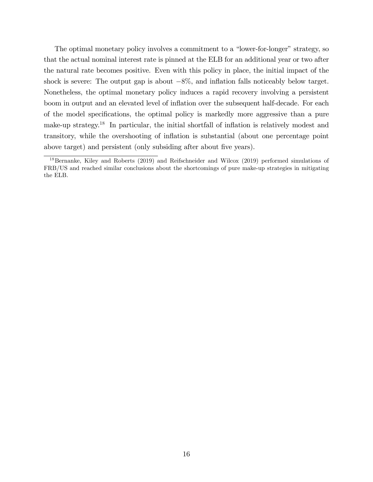The optimal monetary policy involves a commitment to a "lower-for-longer" strategy, so that the actual nominal interest rate is pinned at the ELB for an additional year or two after the natural rate becomes positive. Even with this policy in place, the initial impact of the shock is severe: The output gap is about  $-8\%$ , and inflation falls noticeably below target. Nonetheless, the optimal monetary policy induces a rapid recovery involving a persistent boom in output and an elevated level of inflation over the subsequent half-decade. For each of the model specifications, the optimal policy is markedly more aggressive than a pure make-up strategy.<sup>18</sup> In particular, the initial shortfall of inflation is relatively modest and transitory, while the overshooting of inflation is substantial (about one percentage point above target) and persistent (only subsiding after about five years).

<sup>&</sup>lt;sup>18</sup>Bernanke, Kiley and Roberts (2019) and Reifschneider and Wilcox (2019) performed simulations of FRB/US and reached similar conclusions about the shortcomings of pure make-up strategies in mitigating the ELB.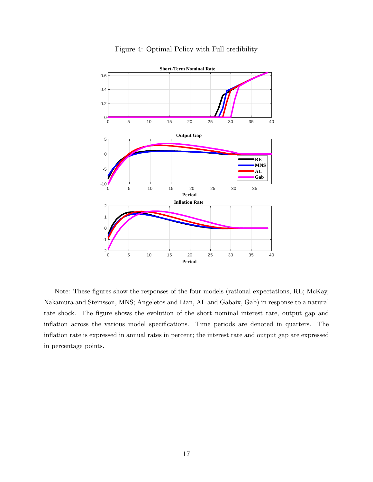

#### Figure 4: Optimal Policy with Full credibility

Note: These figures show the responses of the four models (rational expectations, RE; McKay, Nakamura and Steinsson, MNS; Angeletos and Lian, AL and Gabaix, Gab) in response to a natural rate shock. The figure shows the evolution of the short nominal interest rate, output gap and inflation across the various model specifications. Time periods are denoted in quarters. The ináation rate is expressed in annual rates in percent; the interest rate and output gap are expressed in percentage points.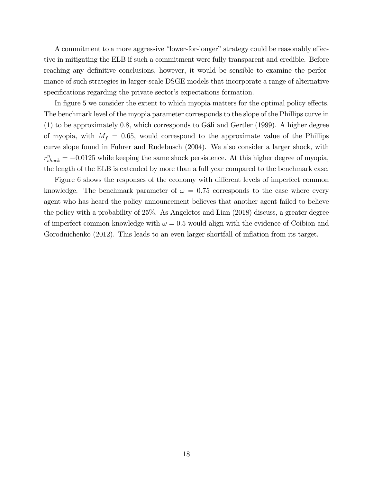A commitment to a more aggressive "lower-for-longer" strategy could be reasonably effective in mitigating the ELB if such a commitment were fully transparent and credible. Before reaching any definitive conclusions, however, it would be sensible to examine the performance of such strategies in larger-scale DSGE models that incorporate a range of alternative specifications regarding the private sector's expectations formation.

In figure 5 we consider the extent to which myopia matters for the optimal policy effects. The benchmark level of the myopia parameter corresponds to the slope of the Phillips curve in  $(1)$  to be approximately 0.8, which corresponds to Gali and Gertler (1999). A higher degree of myopia, with  $M_f = 0.65$ , would correspond to the approximate value of the Phillips curve slope found in Fuhrer and Rudebusch (2004). We also consider a larger shock, with  $r_{shock}^{n} = -0.0125$  while keeping the same shock persistence. At this higher degree of myopia, the length of the ELB is extended by more than a full year compared to the benchmark case.

Figure 6 shows the responses of the economy with different levels of imperfect common knowledge. The benchmark parameter of  $\omega = 0.75$  corresponds to the case where every agent who has heard the policy announcement believes that another agent failed to believe the policy with a probability of 25%. As Angeletos and Lian (2018) discuss, a greater degree of imperfect common knowledge with  $\omega = 0.5$  would align with the evidence of Coibion and Gorodnichenko (2012). This leads to an even larger shortfall of inflation from its target.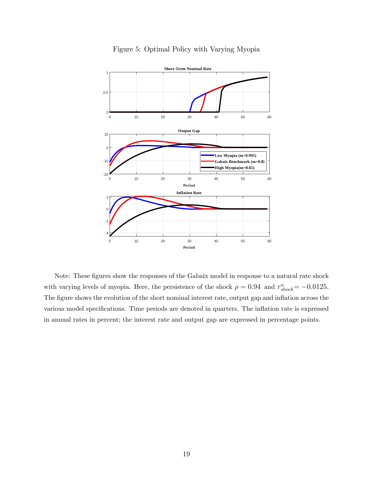

#### Figure 5: Optimal Policy with Varying Myopia

Note: These figures show the responses of the Gabaix model in response to a natural rate shock with varying levels of myopia. Here, the persistence of the shock  $\rho = 0.94$  and  $r_{shock}^n = -0.0125$ . The figure shows the evolution of the short nominal interest rate, output gap and inflation across the various model specifications. Time periods are denoted in quarters. The inflation rate is expressed in annual rates in percent; the interest rate and output gap are expressed in percentage points.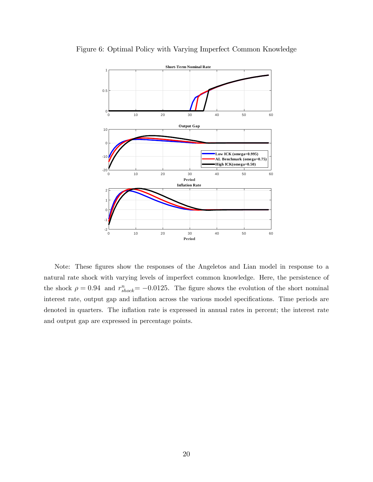

Figure 6: Optimal Policy with Varying Imperfect Common Knowledge

Note: These figures show the responses of the Angeletos and Lian model in response to a natural rate shock with varying levels of imperfect common knowledge. Here, the persistence of the shock  $\rho = 0.94$  and  $r_{shock}^n = -0.0125$ . The figure shows the evolution of the short nominal interest rate, output gap and inflation across the various model specifications. Time periods are denoted in quarters. The inflation rate is expressed in annual rates in percent; the interest rate and output gap are expressed in percentage points.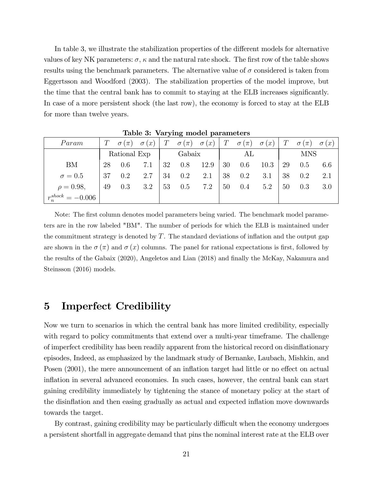In table 3, we illustrate the stabilization properties of the different models for alternative values of key NK parameters:  $\sigma$ ,  $\kappa$  and the natural rate shock. The first row of the table shows results using the benchmark parameters. The alternative value of  $\sigma$  considered is taken from Eggertsson and Woodford (2003). The stabilization properties of the model improve, but the time that the central bank has to commit to staying at the ELB increases significantly. In case of a more persistent shock (the last row), the economy is forced to stay at the ELB for more than twelve years.

|                            |     |                                       | $\frac{1}{2}$ |    |         |      |    |                                                                                       |      |    |                               |     |
|----------------------------|-----|---------------------------------------|---------------|----|---------|------|----|---------------------------------------------------------------------------------------|------|----|-------------------------------|-----|
| Param                      |     | $T \quad \sigma(\pi) \quad \sigma(x)$ |               |    |         |      |    | $T \quad \sigma(\pi) \quad \sigma(x) \mid T \quad \sigma(\pi) \quad \sigma(x) \mid T$ |      |    | $\sigma(\pi) \quad \sigma(x)$ |     |
|                            |     |                                       | Rational Exp  |    | Gabaix  |      |    | AL                                                                                    |      |    | <b>MNS</b>                    |     |
| <b>BM</b>                  | 28  | 0.6                                   | 7.1           | 32 | 0.8     | 12.9 | 30 | $0.6\,$                                                                               | 10.3 | 29 | 0.5                           | 6.6 |
| $\sigma = 0.5$             | -37 | 0.2                                   | 2.7           | 34 | $0.2\,$ | 2.1  | 38 | $0.2\,$                                                                               | 3.1  | 38 | 0.2                           | 2.1 |
| $\rho = 0.98,$             | 49  | 0.3                                   | 3.2           | 53 | 0.5     | 7.2  | 50 | 0.4                                                                                   | 5.2  | 50 | 0.3                           | 3.0 |
| $r^{shock}_\cdot = -0.006$ |     |                                       |               |    |         |      |    |                                                                                       |      |    |                               |     |

Table 3: Varying model parameters

Note: The first column denotes model parameters being varied. The benchmark model parameters are in the row labeled "BM". The number of periods for which the ELB is maintained under the commitment strategy is denoted by  $T$ . The standard deviations of inflation and the output gap are shown in the  $\sigma(\pi)$  and  $\sigma(x)$  columns. The panel for rational expectations is first, followed by the results of the Gabaix (2020), Angeletos and Lian (2018) and finally the McKay, Nakamura and Steinsson (2016) models.

## 5 Imperfect Credibility

Now we turn to scenarios in which the central bank has more limited credibility, especially with regard to policy commitments that extend over a multi-year timeframe. The challenge of imperfect credibility has been readily apparent from the historical record on disináationary episodes, Indeed, as emphasized by the landmark study of Bernanke, Laubach, Mishkin, and Posen (2001), the mere announcement of an inflation target had little or no effect on actual inflation in several advanced economies. In such cases, however, the central bank can start gaining credibility immediately by tightening the stance of monetary policy at the start of the disinflation and then easing gradually as actual and expected inflation move downwards towards the target.

By contrast, gaining credibility may be particularly difficult when the economy undergoes a persistent shortfall in aggregate demand that pins the nominal interest rate at the ELB over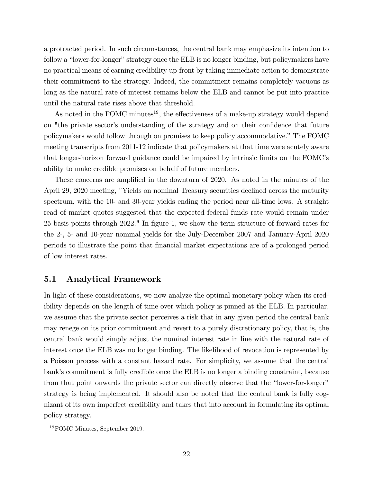a protracted period. In such circumstances, the central bank may emphasize its intention to follow a "lower-for-longer" strategy once the ELB is no longer binding, but policymakers have no practical means of earning credibility up-front by taking immediate action to demonstrate their commitment to the strategy. Indeed, the commitment remains completely vacuous as long as the natural rate of interest remains below the ELB and cannot be put into practice until the natural rate rises above that threshold.

As noted in the FOMC minutes<sup>19</sup>, the effectiveness of a make-up strategy would depend on "the private sector's understanding of the strategy and on their confidence that future policymakers would follow through on promises to keep policy accommodative." The FOMC meeting transcripts from 2011-12 indicate that policymakers at that time were acutely aware that longer-horizon forward guidance could be impaired by intrinsic limits on the FOMCís ability to make credible promises on behalf of future members.

These concerns are amplified in the downturn of 2020. As noted in the minutes of the April 29, 2020 meeting, "Yields on nominal Treasury securities declined across the maturity spectrum, with the 10- and 30-year yields ending the period near all-time lows. A straight read of market quotes suggested that the expected federal funds rate would remain under 25 basis points through 2022." In Ögure 1, we show the term structure of forward rates for the 2-, 5- and 10-year nominal yields for the July-December 2007 and January-April 2020 periods to illustrate the point that Önancial market expectations are of a prolonged period of low interest rates.

#### 5.1 Analytical Framework

In light of these considerations, we now analyze the optimal monetary policy when its credibility depends on the length of time over which policy is pinned at the ELB. In particular, we assume that the private sector perceives a risk that in any given period the central bank may renege on its prior commitment and revert to a purely discretionary policy, that is, the central bank would simply adjust the nominal interest rate in line with the natural rate of interest once the ELB was no longer binding. The likelihood of revocation is represented by a Poisson process with a constant hazard rate. For simplicity, we assume that the central bank's commitment is fully credible once the ELB is no longer a binding constraint, because from that point onwards the private sector can directly observe that the "lower-for-longer" strategy is being implemented. It should also be noted that the central bank is fully cognizant of its own imperfect credibility and takes that into account in formulating its optimal policy strategy.

<sup>19</sup>FOMC Minutes, September 2019.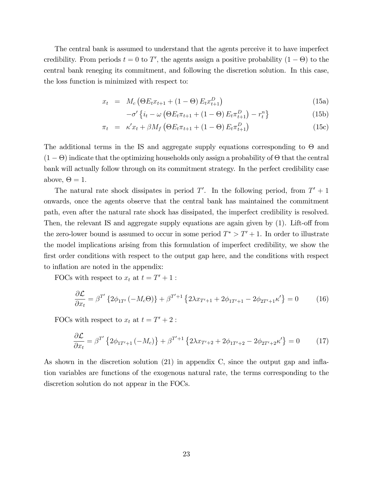The central bank is assumed to understand that the agents perceive it to have imperfect credibility. From periods  $t = 0$  to T', the agents assign a positive probability  $(1 - \Theta)$  to the central bank reneging its commitment, and following the discretion solution. In this case, the loss function is minimized with respect to:

$$
x_t = M_c (\Theta E_t x_{t+1} + (1 - \Theta) E_t x_{t+1}^D)
$$
\n(15a)

$$
-\sigma'\left\{i_t - \omega\left(\Theta E_t \pi_{t+1} + (1-\Theta) E_t \pi_{t+1}^D\right) - r_t^n\right\}\tag{15b}
$$

$$
\pi_t = \kappa' x_t + \beta M_f \left( \Theta E_t \pi_{t+1} + (1 - \Theta) E_t \pi_{t+1}^D \right) \tag{15c}
$$

The additional terms in the IS and aggregate supply equations corresponding to  $\Theta$  and  $(1 - \Theta)$  indicate that the optimizing households only assign a probability of  $\Theta$  that the central bank will actually follow through on its commitment strategy. In the perfect credibility case above,  $\Theta = 1$ .

The natural rate shock dissipates in period  $T'$ . In the following period, from  $T' + 1$ onwards, once the agents observe that the central bank has maintained the commitment path, even after the natural rate shock has dissipated, the imperfect credibility is resolved. Then, the relevant IS and aggregate supply equations are again given by  $(1)$ . Lift-off from the zero-lower bound is assumed to occur in some period  $T^* > T' + 1$ . In order to illustrate the model implications arising from this formulation of imperfect credibility, we show the first order conditions with respect to the output gap here, and the conditions with respect to inflation are noted in the appendix:

FOCs with respect to  $x_t$  at  $t = T' + 1$ :

$$
\frac{\partial \mathcal{L}}{\partial x_t} = \beta^{T'} \left\{ 2\phi_{1T'} \left( -M_c \Theta \right) \right\} + \beta^{T'+1} \left\{ 2\lambda x_{T'+1} + 2\phi_{1T'+1} - 2\phi_{2T'+1} \kappa' \right\} = 0 \tag{16}
$$

FOCs with respect to  $x_t$  at  $t = T' + 2$ :

$$
\frac{\partial \mathcal{L}}{\partial x_t} = \beta^{T'} \left\{ 2\phi_{1T'+1} \left( -M_c \right) \right\} + \beta^{T'+1} \left\{ 2\lambda x_{T'+2} + 2\phi_{1T'+2} - 2\phi_{2T'+2}\kappa' \right\} = 0 \tag{17}
$$

As shown in the discretion solution  $(21)$  in appendix C, since the output gap and inflation variables are functions of the exogenous natural rate, the terms corresponding to the discretion solution do not appear in the FOCs.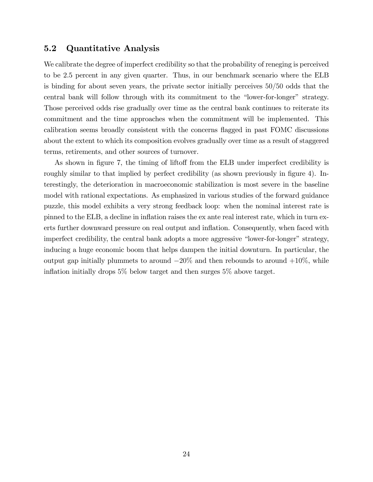#### 5.2 Quantitative Analysis

We calibrate the degree of imperfect credibility so that the probability of reneging is perceived to be 2.5 percent in any given quarter. Thus, in our benchmark scenario where the ELB is binding for about seven years, the private sector initially perceives  $50/50$  odds that the central bank will follow through with its commitment to the "lower-for-longer" strategy. Those perceived odds rise gradually over time as the central bank continues to reiterate its commitment and the time approaches when the commitment will be implemented. This calibration seems broadly consistent with the concerns áagged in past FOMC discussions about the extent to which its composition evolves gradually over time as a result of staggered terms, retirements, and other sources of turnover.

As shown in figure 7, the timing of liftoff from the ELB under imperfect credibility is roughly similar to that implied by perfect credibility (as shown previously in figure 4). Interestingly, the deterioration in macroeconomic stabilization is most severe in the baseline model with rational expectations. As emphasized in various studies of the forward guidance puzzle, this model exhibits a very strong feedback loop: when the nominal interest rate is pinned to the ELB, a decline in inflation raises the ex ante real interest rate, which in turn exerts further downward pressure on real output and inflation. Consequently, when faced with imperfect credibility, the central bank adopts a more aggressive "lower-for-longer" strategy, inducing a huge economic boom that helps dampen the initial downturn. In particular, the output gap initially plummets to around  $-20\%$  and then rebounds to around  $+10\%$ , while inflation initially drops  $5\%$  below target and then surges  $5\%$  above target.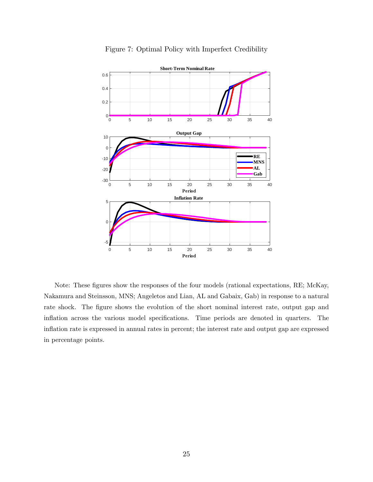

Figure 7: Optimal Policy with Imperfect Credibility

Note: These figures show the responses of the four models (rational expectations, RE; McKay, Nakamura and Steinsson, MNS; Angeletos and Lian, AL and Gabaix, Gab) in response to a natural rate shock. The figure shows the evolution of the short nominal interest rate, output gap and inflation across the various model specifications. Time periods are denoted in quarters. The inflation rate is expressed in annual rates in percent; the interest rate and output gap are expressed in percentage points.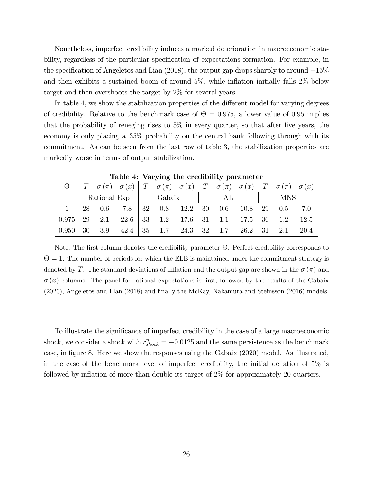Nonetheless, imperfect credibility induces a marked deterioration in macroeconomic stability, regardless of the particular specification of expectations formation. For example, in the specification of Angeletos and Lian  $(2018)$ , the output gap drops sharply to around  $-15\%$ and then exhibits a sustained boom of around  $5\%$ , while inflation initially falls  $2\%$  below target and then overshoots the target by 2% for several years.

In table 4, we show the stabilization properties of the different model for varying degrees of credibility. Relative to the benchmark case of  $\Theta = 0.975$ , a lower value of 0.95 implies that the probability of reneging rises to  $5\%$  in every quarter, so that after five years, the economy is only placing a 35% probability on the central bank following through with its commitment. As can be seen from the last row of table 3, the stabilization properties are markedly worse in terms of output stabilization.

|  |  |  |                       | AL |  | <b>MNS</b> |                                                                                                                                                                                                                                                                                                                                                                                                                            |
|--|--|--|-----------------------|----|--|------------|----------------------------------------------------------------------------------------------------------------------------------------------------------------------------------------------------------------------------------------------------------------------------------------------------------------------------------------------------------------------------------------------------------------------------|
|  |  |  |                       |    |  |            |                                                                                                                                                                                                                                                                                                                                                                                                                            |
|  |  |  |                       |    |  |            |                                                                                                                                                                                                                                                                                                                                                                                                                            |
|  |  |  |                       |    |  |            | 20.4                                                                                                                                                                                                                                                                                                                                                                                                                       |
|  |  |  | Rational Exp   Gabaix |    |  |            | $T \sigma(\pi) \sigma(x)   T \sigma(\pi) \sigma(x)   T \sigma(\pi) \sigma(x)   T \sigma(x)   T \sigma(\pi) \sigma(x)$<br>$1 \mid 28 \mid 0.6 \mid 7.8 \mid 32 \mid 0.8 \mid 12.2 \mid 30 \mid 0.6 \mid 10.8 \mid 29 \mid 0.5 \mid 7.0$<br>$0.975 \mid 29$ 2.1 22.6 33 1.2 17.6 31 1.1 17.5 30 1.2 12.5<br>$0.950 \mid 30 \quad 3.9 \quad 42.4 \mid 35 \quad 1.7 \quad 24.3 \mid 32 \quad 1.7 \quad 26.2 \mid 31 \quad 2.1$ |

Table 4: Varying the credibility parameter

Note: The first column denotes the credibility parameter  $\Theta$ . Perfect credibility corresponds to  $\Theta = 1$ . The number of periods for which the ELB is maintained under the commitment strategy is denoted by T. The standard deviations of inflation and the output gap are shown in the  $\sigma(\pi)$  and  $\sigma(x)$  columns. The panel for rational expectations is first, followed by the results of the Gabaix (2020), Angeletos and Lian (2018) and Önally the McKay, Nakamura and Steinsson (2016) models.

To illustrate the significance of imperfect credibility in the case of a large macroeconomic shock, we consider a shock with  $r_{shock}^n = -0.0125$  and the same persistence as the benchmark case, in figure 8. Here we show the responses using the Gabaix (2020) model. As illustrated, in the case of the benchmark level of imperfect credibility, the initial deflation of  $5\%$  is followed by inflation of more than double its target of  $2\%$  for approximately 20 quarters.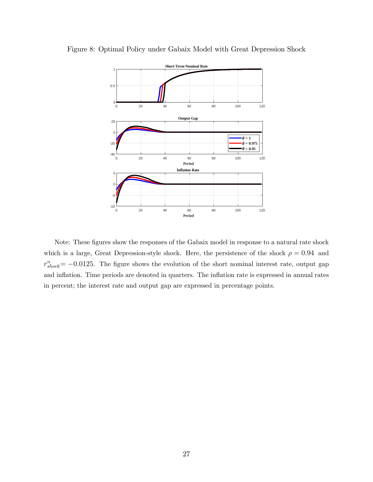

Figure 8: Optimal Policy under Gabaix Model with Great Depression Shock

Note: These figures show the responses of the Gabaix model in response to a natural rate shock which is a large, Great Depression-style shock. Here, the persistence of the shock  $\rho = 0.94$  and  $r_{shock}^{n} = -0.0125$ . The figure shows the evolution of the short nominal interest rate, output gap and inflation. Time periods are denoted in quarters. The inflation rate is expressed in annual rates in percent; the interest rate and output gap are expressed in percentage points.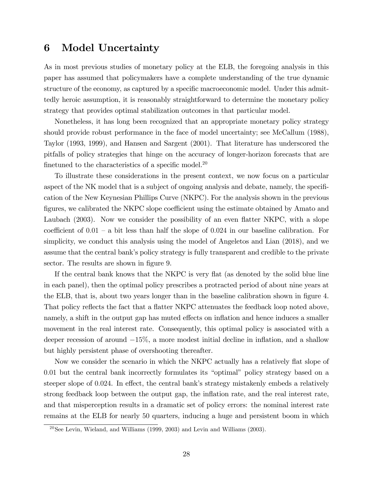## 6 Model Uncertainty

As in most previous studies of monetary policy at the ELB, the foregoing analysis in this paper has assumed that policymakers have a complete understanding of the true dynamic structure of the economy, as captured by a specific macroeconomic model. Under this admittedly heroic assumption, it is reasonably straightforward to determine the monetary policy strategy that provides optimal stabilization outcomes in that particular model.

Nonetheless, it has long been recognized that an appropriate monetary policy strategy should provide robust performance in the face of model uncertainty; see McCallum (1988), Taylor (1993, 1999), and Hansen and Sargent (2001). That literature has underscored the pitfalls of policy strategies that hinge on the accuracy of longer-horizon forecasts that are finetuned to the characteristics of a specific model.<sup>20</sup>

To illustrate these considerations in the present context, we now focus on a particular aspect of the NK model that is a subject of ongoing analysis and debate, namely, the specification of the New Keynesian Phillips Curve (NKPC). For the analysis shown in the previous figures, we calibrated the NKPC slope coefficient using the estimate obtained by Amato and Laubach (2003). Now we consider the possibility of an even flatter NKPC, with a slope coefficient of  $0.01 - a$  bit less than half the slope of 0.024 in our baseline calibration. For simplicity, we conduct this analysis using the model of Angeletos and Lian (2018), and we assume that the central bank's policy strategy is fully transparent and credible to the private sector. The results are shown in figure 9.

If the central bank knows that the NKPC is very flat (as denoted by the solid blue line in each panel), then the optimal policy prescribes a protracted period of about nine years at the ELB, that is, about two years longer than in the baseline calibration shown in figure 4. That policy reflects the fact that a flatter NKPC attenuates the feedback loop noted above, namely, a shift in the output gap has muted effects on inflation and hence induces a smaller movement in the real interest rate. Consequently, this optimal policy is associated with a deeper recession of around  $-15\%$ , a more modest initial decline in inflation, and a shallow but highly persistent phase of overshooting thereafter.

Now we consider the scenario in which the NKPC actually has a relatively flat slope of  $0.01$  but the central bank incorrectly formulates its "optimal" policy strategy based on a steeper slope of 0.024. In effect, the central bank's strategy mistakenly embeds a relatively strong feedback loop between the output gap, the inflation rate, and the real interest rate, and that misperception results in a dramatic set of policy errors: the nominal interest rate remains at the ELB for nearly 50 quarters, inducing a huge and persistent boom in which

 $20$ See Levin, Wieland, and Williams (1999, 2003) and Levin and Williams (2003).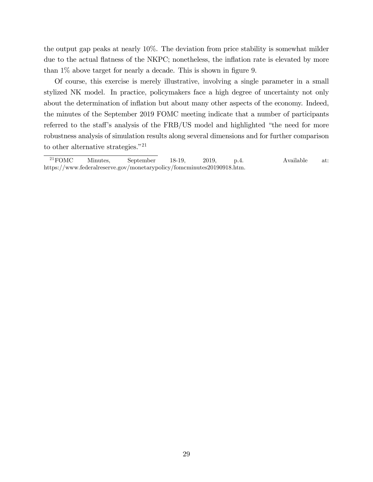the output gap peaks at nearly 10%. The deviation from price stability is somewhat milder due to the actual flatness of the NKPC; nonetheless, the inflation rate is elevated by more than  $1\%$  above target for nearly a decade. This is shown in figure 9.

Of course, this exercise is merely illustrative, involving a single parameter in a small stylized NK model. In practice, policymakers face a high degree of uncertainty not only about the determination of inflation but about many other aspects of the economy. Indeed, the minutes of the September 2019 FOMC meeting indicate that a number of participants referred to the staff's analysis of the  $FRB/US$  model and highlighted "the need for more robustness analysis of simulation results along several dimensions and for further comparison to other alternative strategies.<sup> $"21$ </sup>

 $^{21}$ FOMC Minutes, September 18-19, 2019, p.4. Available at: https://www.federalreserve.gov/monetarypolicy/fomcminutes20190918.htm.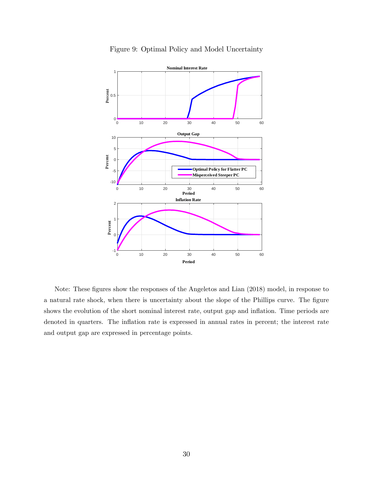

Figure 9: Optimal Policy and Model Uncertainty

Note: These figures show the responses of the Angeletos and Lian (2018) model, in response to a natural rate shock, when there is uncertainty about the slope of the Phillips curve. The figure shows the evolution of the short nominal interest rate, output gap and inflation. Time periods are denoted in quarters. The inflation rate is expressed in annual rates in percent; the interest rate and output gap are expressed in percentage points.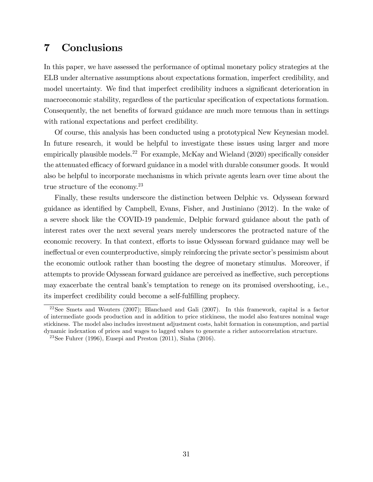## 7 Conclusions

In this paper, we have assessed the performance of optimal monetary policy strategies at the ELB under alternative assumptions about expectations formation, imperfect credibility, and model uncertainty. We find that imperfect credibility induces a significant deterioration in macroeconomic stability, regardless of the particular specification of expectations formation. Consequently, the net benefits of forward guidance are much more tenuous than in settings with rational expectations and perfect credibility.

Of course, this analysis has been conducted using a prototypical New Keynesian model. In future research, it would be helpful to investigate these issues using larger and more empirically plausible models.<sup>22</sup> For example, McKay and Wieland  $(2020)$  specifically consider the attenuated efficacy of forward guidance in a model with durable consumer goods. It would also be helpful to incorporate mechanisms in which private agents learn over time about the true structure of the economy.<sup>23</sup>

Finally, these results underscore the distinction between Delphic vs. Odyssean forward guidance as identified by Campbell, Evans, Fisher, and Justiniano (2012). In the wake of a severe shock like the COVID-19 pandemic, Delphic forward guidance about the path of interest rates over the next several years merely underscores the protracted nature of the economic recovery. In that context, efforts to issue Odyssean forward guidance may well be ines interproductive, simply reinforcing the private sector's pessimism about the economic outlook rather than boosting the degree of monetary stimulus. Moreover, if attempts to provide Odyssean forward guidance are perceived as ineffective, such perceptions may exacerbate the central bankís temptation to renege on its promised overshooting, i.e., its imperfect credibility could become a self-fulfilling prophecy.

 $22$ See Smets and Wouters (2007); Blanchard and Gali (2007). In this framework, capital is a factor of intermediate goods production and in addition to price stickiness, the model also features nominal wage stickiness. The model also includes investment adjustment costs, habit formation in consumption, and partial dynamic indexation of prices and wages to lagged values to generate a richer autocorrelation structure.

<sup>&</sup>lt;sup>23</sup>See Fuhrer (1996), Eusepi and Preston  $(2011)$ , Sinha  $(2016)$ .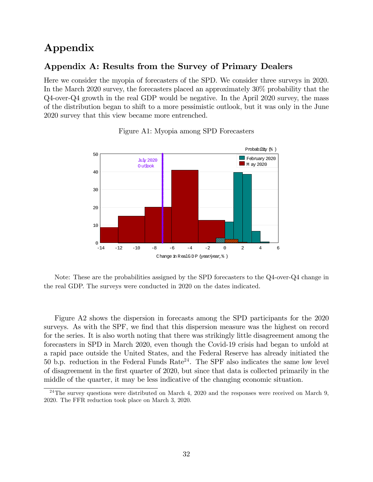## Appendix

### Appendix A: Results from the Survey of Primary Dealers

Here we consider the myopia of forecasters of the SPD. We consider three surveys in 2020. In the March 2020 survey, the forecasters placed an approximately 30% probability that the Q4-over-Q4 growth in the real GDP would be negative. In the April 2020 survey, the mass of the distribution began to shift to a more pessimistic outlook, but it was only in the June 2020 survey that this view became more entrenched.



Figure A1: Myopia among SPD Forecasters

Note: These are the probabilities assigned by the SPD forecasters to the Q4-over-Q4 change in the real GDP. The surveys were conducted in 2020 on the dates indicated.

Figure A2 shows the dispersion in forecasts among the SPD participants for the 2020 surveys. As with the SPF, we find that this dispersion measure was the highest on record for the series. It is also worth noting that there was strikingly little disagreement among the forecasters in SPD in March 2020, even though the Covid-19 crisis had began to unfold at a rapid pace outside the United States, and the Federal Reserve has already initiated the 50 b.p. reduction in the Federal Funds  $Rate^{24}$ . The SPF also indicates the same low level of disagreement in the Örst quarter of 2020, but since that data is collected primarily in the middle of the quarter, it may be less indicative of the changing economic situation.

<sup>&</sup>lt;sup>24</sup>The survey questions were distributed on March 4, 2020 and the responses were received on March 9, 2020. The FFR reduction took place on March 3, 2020.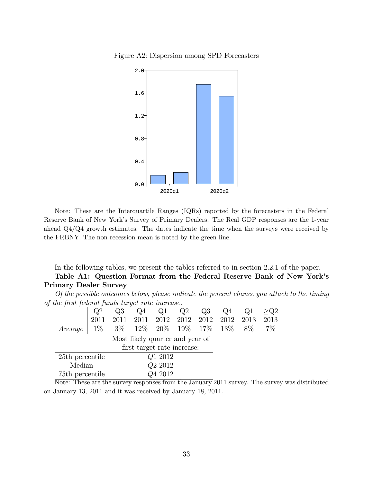Figure A2: Dispersion among SPD Forecasters



Note: These are the Interquartile Ranges (IQRs) reported by the forecasters in the Federal Reserve Bank of New Yorkís Survey of Primary Dealers. The Real GDP responses are the 1-year ahead Q4/Q4 growth estimates. The dates indicate the time when the surveys were received by the FRBNY. The non-recession mean is noted by the green line.

In the following tables, we present the tables referred to in section 2.2.1 of the paper.

#### Table A1: Question Format from the Federal Reserve Bank of New York's Primary Dealer Survey

|                                                  | Of the possible outcomes below, please indicate the percent chance you attach to the timing |  |  |  |  |  |
|--------------------------------------------------|---------------------------------------------------------------------------------------------|--|--|--|--|--|
| of the first federal funds target rate increase. |                                                                                             |  |  |  |  |  |

|                                 | Q2                          | Q3    | Q4     |        | Q2     | Q3   | Q4   |       |      |
|---------------------------------|-----------------------------|-------|--------|--------|--------|------|------|-------|------|
|                                 | 2011                        | 2011  | 2011   | 2012   | 2012   | 2012 | 2012 | 2013  | 2013 |
| Average                         | $1\%$                       | $3\%$ | $12\%$ | $20\%$ | $19\%$ | 17\% | 13\% | $8\%$ | 7%   |
| Most likely quarter and year of |                             |       |        |        |        |      |      |       |      |
|                                 | first target rate increase: |       |        |        |        |      |      |       |      |
|                                 | Q1 2012<br>25th percentile  |       |        |        |        |      |      |       |      |
| Q <sub>2</sub> 2012<br>Median   |                             |       |        |        |        |      |      |       |      |
| Q4 2012<br>75th percentile      |                             |       |        |        |        |      |      |       |      |

Note: These are the survey responses from the January 2011 survey. The survey was distributed on January 13, 2011 and it was received by January 18, 2011.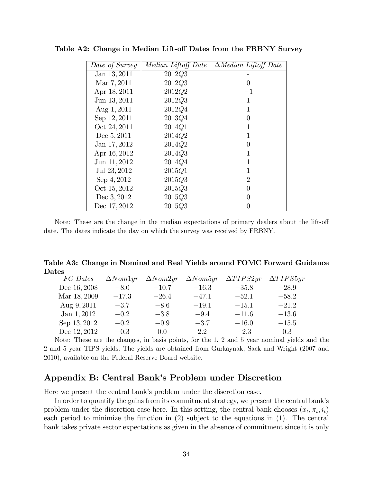| Date of Survey | Median Liftoff Date | $\Delta Median$ Liftoff Date |
|----------------|---------------------|------------------------------|
| Jan 13, 2011   | 2012Q3              |                              |
| Mar 7, 2011    | 2012Q3              | $\left( \right)$             |
| Apr 18, 2011   | 2012Q2              | $-1$                         |
| Jun 13, 2011   | 2012Q3              | 1                            |
| Aug $1,2011$   | 2012Q4              | 1                            |
| Sep 12, 2011   | 2013Q4              | 0                            |
| Oct 24, 2011   | 2014Q1              | 1                            |
| Dec 5, 2011    | 2014Q2              | 1                            |
| Jan 17, 2012   | 2014Q2              | 0                            |
| Apr 16, 2012   | 2014Q3              | 1                            |
| Jun 11, 2012   | 2014Q4              | 1                            |
| Jul 23, 2012   | 2015Q1              | 1                            |
| Sep 4, 2012    | 2015Q3              | 2                            |
| Oct 15, 2012   | 2015Q3              | 0                            |
| Dec 3, 2012    | 2015Q3              | 0                            |
| Dec 17, 2012   | 2015Q3              |                              |

Table A2: Change in Median Lift-off Dates from the FRBNY Survey

Note: These are the change in the median expectations of primary dealers about the lift-off date. The dates indicate the day on which the survey was received by FRBNY.

Table A3: Change in Nominal and Real Yields around FOMC Forward Guidance Dates

| FG Dates     | $\Delta N$ <i>om</i> 1 <i>yr</i> | $\Delta Nom2yr$ | $\Delta N$ <i>om</i> $5yr$ | $\Delta TIPS2yr$ | $\Delta TIPS5yr$ |
|--------------|----------------------------------|-----------------|----------------------------|------------------|------------------|
| Dec 16, 2008 | $-8.0$                           | $-10.7$         | $-16.3$                    | $-35.8$          | $-28.9$          |
| Mar 18, 2009 | $-17.3$                          | $-26.4$         | $-47.1$                    | $-52.1$          | $-58.2$          |
| Aug $9,2011$ | $-3.7$                           | $-8.6$          | $-19.1$                    | $-15.1$          | $-21.2$          |
| Jan 1, 2012  | $-0.2$                           | $-3.8$          | $-9.4$                     | $-11.6$          | $-13.6$          |
| Sep 13, 2012 | $-0.2$                           | $-0.9$          | $-3.7$                     | $-16.0$          | $-15.5$          |
| Dec 12, 2012 | $-0.3$                           | 0.0             | 2.2                        | $-2.3$           | 0.3              |

Note: These are the changes, in basis points, for the 1, 2 and 5 year nominal yields and the 2 and 5 year TIPS yields. The yields are obtained from Gürkaynak, Sack and Wright (2007 and 2010), available on the Federal Reserve Board website.

### Appendix B: Central Bank's Problem under Discretion

Here we present the central bank's problem under the discretion case.

In order to quantify the gains from its commitment strategy, we present the central bank's problem under the discretion case here. In this setting, the central bank chooses  $(x_t, \pi_t, i_t)$ each period to minimize the function in (2) subject to the equations in (1). The central bank takes private sector expectations as given in the absence of commitment since it is only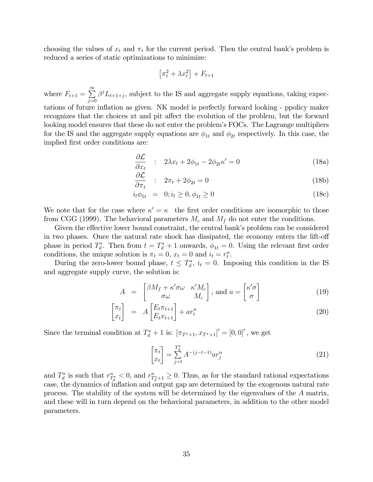choosing the values of  $x_t$  and  $\pi_t$  for the current period. Then the central bank's problem is reduced a series of static optimizations to minimize:

$$
\left[\pi_t^2 + \lambda x_t^2\right] + F_{t+1}
$$

where  $F_{t+1} = \sum_{ }^{\infty}$  $j=0$  $\beta^{j}L_{t+1+j}$ , subject to the IS and aggregate supply equations, taking expectations of future inflation as given. NK model is perfectly forward looking - ppolicy maker recognizes that the choices xt and pit affect the evolution of the problem, but the forward looking model ensures that these do not enter the problem's FOCs. The Lagrange multipliers for the IS and the aggregate supply equations are  $\phi_{1t}$  and  $\phi_{2t}$  respectively. In this case, the implied first order conditions are:

$$
\frac{\partial \mathcal{L}}{\partial x_t} : 2\lambda x_t + 2\phi_{1t} - 2\phi_{2t}\kappa' = 0 \tag{18a}
$$

$$
\frac{\partial \mathcal{L}}{\partial \pi_t} : 2\pi_t + 2\phi_{2t} = 0 \tag{18b}
$$

$$
i_t \phi_{1t} = 0; i_t \ge 0, \phi_{1t} \ge 0
$$
\n(18c)

We note that for the case where  $\kappa' = \kappa$  the first order conditions are isomorphic to those from CGG (1999). The behavioral parameters  $M_c$  and  $M_f$  do not enter the conditions.

Given the effective lower bound constraint, the central bank's problem can be considered in two phases. Once the natural rate shock has dissipated, the economy enters the lift-off phase in period  $T_d^*$ . Then from  $t = T_d^* + 1$  onwards,  $\phi_{1t} = 0$ . Using the relevant first order conditions, the unique solution is  $\pi_t = 0$ ,  $x_t = 0$  and  $i_t = r_t^n$ .

During the zero-lower bound phase,  $t \leq T_d^*$ ,  $i_t = 0$ . Imposing this condition in the IS and aggregate supply curve, the solution is:

$$
A = \begin{bmatrix} \beta M_f + \kappa' \sigma \omega & \kappa' M_c \\ \sigma \omega & M_c \end{bmatrix}, \text{ and } a = \begin{bmatrix} \kappa' \sigma \\ \sigma \end{bmatrix}
$$
 (19)

$$
\begin{bmatrix} \pi_t \\ x_t \end{bmatrix} = A \begin{bmatrix} E_t \pi_{t+1} \\ E_t x_{t+1} \end{bmatrix} + a r_t^n \tag{20}
$$

Since the terminal condition at  $T_d^* + 1$  is:  $[\pi_{T^*+1}, x_{T^*+1}]' = [0, 0]'$ , we get

$$
\begin{bmatrix} \pi_t \\ x_t \end{bmatrix} = \sum_{j=t}^{T_d^*} A^{-(j-t-1)} a r_j^n \tag{21}
$$

and  $T_d^*$  is such that  $r_{T_d^*}^n < 0$ , and  $r_{T_d^*+1}^n \geq 0$ . Thus, as for the standard rational expectations case, the dynamics of inflation and output gap are determined by the exogenous natural rate process. The stability of the system will be determined by the eigenvalues of the A matrix, and these will in turn depend on the behavioral parameters, in addition to the other model parameters.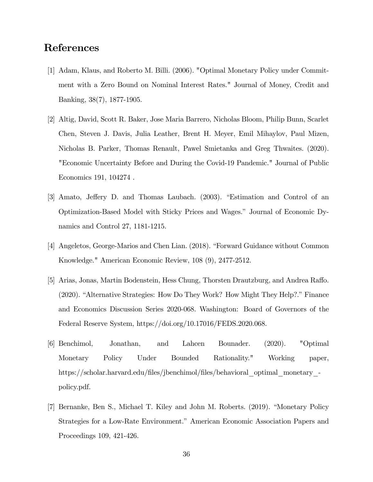## References

- [1] Adam, Klaus, and Roberto M. Billi. (2006). "Optimal Monetary Policy under Commitment with a Zero Bound on Nominal Interest Rates." Journal of Money, Credit and Banking, 38(7), 1877-1905.
- [2] Altig, David, Scott R. Baker, Jose Maria Barrero, Nicholas Bloom, Philip Bunn, Scarlet Chen, Steven J. Davis, Julia Leather, Brent H. Meyer, Emil Mihaylov, Paul Mizen, Nicholas B. Parker, Thomas Renault, Pawel Smietanka and Greg Thwaites. (2020). "Economic Uncertainty Before and During the Covid-19 Pandemic." Journal of Public Economics 191, 104274 .
- [3] Amato, Jeffery D. and Thomas Laubach. (2003). "Estimation and Control of an Optimization-Based Model with Sticky Prices and Wages.î Journal of Economic Dynamics and Control 27, 1181-1215.
- [4] Angeletos, George-Marios and Chen Lian. (2018). "Forward Guidance without Common Knowledge." American Economic Review, 108 (9), 2477-2512.
- [5] Arias, Jonas, Martin Bodenstein, Hess Chung, Thorsten Drautzburg, and Andrea Raffo.  $(2020)$ . "Alternative Strategies: How Do They Work? How Might They Help?." Finance and Economics Discussion Series 2020-068. Washington: Board of Governors of the Federal Reserve System, https://doi.org/10.17016/FEDS.2020.068.
- [6] Benchimol, Jonathan, and Lahcen Bounader. (2020). "Optimal Monetary Policy Under Bounded Rationality." Working paper, https://scholar.harvard.edu/Öles/jbenchimol/Öles/behavioral\_optimal\_monetary\_ policy.pdf.
- [7] Bernanke, Ben S., Michael T. Kiley and John M. Roberts. (2019). "Monetary Policy Strategies for a Low-Rate Environment." American Economic Association Papers and Proceedings 109, 421-426.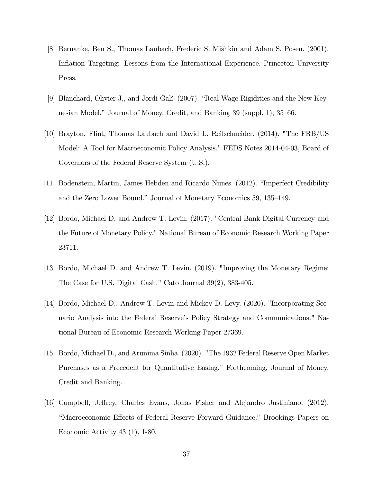- [8] Bernanke, Ben S., Thomas Laubach, Frederic S. Mishkin and Adam S. Posen. (2001). Inflation Targeting: Lessons from the International Experience. Princeton University Press.
- [9] Blanchard, Olivier J., and Jordi Galí. (2007). "Real Wage Rigidities and the New Keynesian Model." Journal of Money, Credit, and Banking 39 (suppl. 1), 35–66.
- [10] Brayton, Flint, Thomas Laubach and David L. Reifschneider. (2014). "The FRB/US Model: A Tool for Macroeconomic Policy Analysis." FEDS Notes 2014-04-03, Board of Governors of the Federal Reserve System (U.S.).
- [11] Bodenstein, Martin, James Hebden and Ricardo Nunes. (2012). "Imperfect Credibility and the Zero Lower Bound." Journal of Monetary Economics 59, 135–149.
- [12] Bordo, Michael D. and Andrew T. Levin. (2017). "Central Bank Digital Currency and the Future of Monetary Policy." National Bureau of Economic Research Working Paper 23711.
- [13] Bordo, Michael D. and Andrew T. Levin. (2019). "Improving the Monetary Regime: The Case for U.S. Digital Cash." Cato Journal 39(2), 383-405.
- [14] Bordo, Michael D., Andrew T. Levin and Mickey D. Levy. (2020). "Incorporating Scenario Analysis into the Federal Reserve's Policy Strategy and Communications." National Bureau of Economic Research Working Paper 27369.
- [15] Bordo, Michael D., and Arunima Sinha. (2020). "The 1932 Federal Reserve Open Market Purchases as a Precedent for Quantitative Easing." Forthcoming, Journal of Money, Credit and Banking.
- [16] Campbell, Jeffrey, Charles Evans, Jonas Fisher and Alejandro Justiniano. (2012). ìMacroeconomic E§ects of Federal Reserve Forward Guidance.î Brookings Papers on Economic Activity 43 (1), 1-80.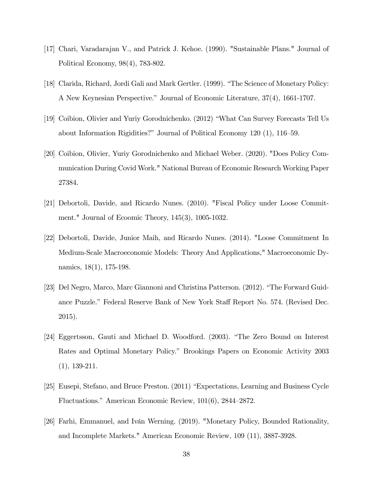- [17] Chari, Varadarajan V., and Patrick J. Kehoe. (1990). "Sustainable Plans." Journal of Political Economy, 98(4), 783-802.
- [18] Clarida, Richard, Jordi Gali and Mark Gertler. (1999). "The Science of Monetary Policy: A New Keynesian Perspective." Journal of Economic Literature,  $37(4)$ , 1661-1707.
- [19] Coibion, Olivier and Yuriy Gorodnichenko. (2012) "What Can Survey Forecasts Tell Us about Information Rigidities?" Journal of Political Economy  $120$  (1),  $116-59$ .
- [20] Coibion, Olivier, Yuriy Gorodnichenko and Michael Weber. (2020). "Does Policy Communication During Covid Work." National Bureau of Economic Research Working Paper 27384.
- [21] Debortoli, Davide, and Ricardo Nunes. (2010). "Fiscal Policy under Loose Commitment." Journal of Ecoomic Theory, 145(3), 1005-1032.
- [22] Debortoli, Davide, Junior Maih, and Ricardo Nunes. (2014). "Loose Commitment In Medium-Scale Macroeconomic Models: Theory And Applications," Macroeconomic Dynamics, 18(1), 175-198.
- [23] Del Negro, Marco, Marc Giannoni and Christina Patterson. (2012). "The Forward Guidance Puzzle." Federal Reserve Bank of New York Staff Report No. 574. (Revised Dec. 2015).
- [24] Eggertsson, Gauti and Michael D. Woodford. (2003). "The Zero Bound on Interest Rates and Optimal Monetary Policy.î Brookings Papers on Economic Activity 2003 (1), 139-211.
- [25] Eusepi, Stefano, and Bruce Preston. (2011) "Expectations, Learning and Business Cycle Fluctuations." American Economic Review,  $101(6)$ , 2844–2872.
- [26] Farhi, Emmanuel, and Iván Werning. (2019). "Monetary Policy, Bounded Rationality, and Incomplete Markets." American Economic Review, 109 (11), 3887-3928.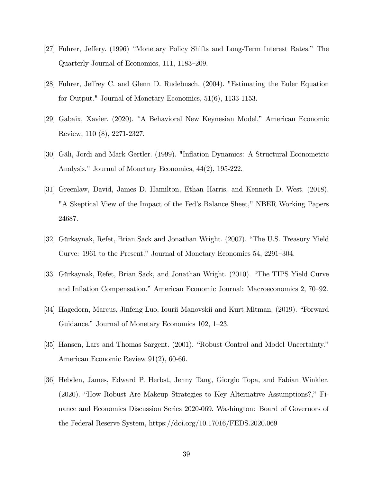- [27] Fuhrer, Jeffery. (1996) "Monetary Policy Shifts and Long-Term Interest Rates." The Quarterly Journal of Economics, 111, 1183–209.
- [28] Fuhrer, Jeffrey C. and Glenn D. Rudebusch. (2004). "Estimating the Euler Equation for Output." Journal of Monetary Economics, 51(6), 1133-1153.
- [29] Gabaix, Xavier. (2020). "A Behavioral New Keynesian Model." American Economic Review, 110 (8), 2271-2327.
- [30] Gáli, Jordi and Mark Gertler. (1999). "Inflation Dynamics: A Structural Econometric Analysis." Journal of Monetary Economics, 44(2), 195-222.
- [31] Greenlaw, David, James D. Hamilton, Ethan Harris, and Kenneth D. West. (2018). "A Skeptical View of the Impact of the Fedís Balance Sheet," NBER Working Papers 24687.
- [32] Gürkaynak, Refet, Brian Sack and Jonathan Wright. (2007). "The U.S. Treasury Yield Curve: 1961 to the Present." Journal of Monetary Economics 54, 2291–304.
- [33] Gürkaynak, Refet, Brian Sack, and Jonathan Wright. (2010). "The TIPS Yield Curve and Inflation Compensation." American Economic Journal: Macroeconomics 2, 70–92.
- [34] Hagedorn, Marcus, Jinfeng Luo, Iourii Manovskii and Kurt Mitman. (2019). "Forward Guidance." Journal of Monetary Economics 102, 1–23.
- [35] Hansen, Lars and Thomas Sargent. (2001). "Robust Control and Model Uncertainty." American Economic Review 91(2), 60-66.
- [36] Hebden, James, Edward P. Herbst, Jenny Tang, Giorgio Topa, and Fabian Winkler.  $(2020)$ . "How Robust Are Makeup Strategies to Key Alternative Assumptions?," Finance and Economics Discussion Series 2020-069. Washington: Board of Governors of the Federal Reserve System, https://doi.org/10.17016/FEDS.2020.069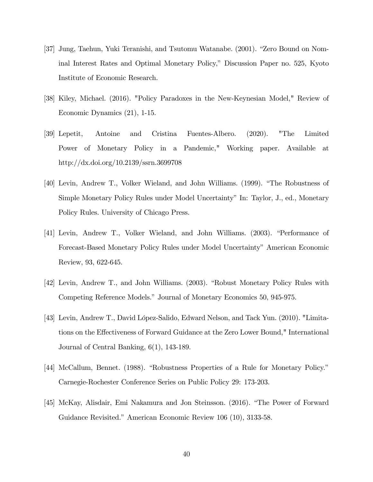- [37] Jung, Taehun, Yuki Teranishi, and Tsutomu Watanabe. (2001). "Zero Bound on Nominal Interest Rates and Optimal Monetary Policy," Discussion Paper no. 525, Kyoto Institute of Economic Research.
- [38] Kiley, Michael. (2016). "Policy Paradoxes in the New-Keynesian Model," Review of Economic Dynamics (21), 1-15.
- [39] Lepetit, Antoine and Cristina Fuentes-Albero. (2020). "The Limited Power of Monetary Policy in a Pandemic," Working paper. Available at http://dx.doi.org/10.2139/ssrn.3699708
- [40] Levin, Andrew T., Volker Wieland, and John Williams. (1999). "The Robustness of Simple Monetary Policy Rules under Model Uncertainty" In: Taylor, J., ed., Monetary Policy Rules. University of Chicago Press.
- [41] Levin, Andrew T., Volker Wieland, and John Williams. (2003). "Performance of Forecast-Based Monetary Policy Rules under Model Uncertainty" American Economic Review, 93, 622-645.
- [42] Levin, Andrew T., and John Williams. (2003). "Robust Monetary Policy Rules with Competing Reference Models." Journal of Monetary Economics 50, 945-975.
- [43] Levin, Andrew T., David LÛpez-Salido, Edward Nelson, and Tack Yun. (2010). "Limitations on the Effectiveness of Forward Guidance at the Zero Lower Bound," International Journal of Central Banking, 6(1), 143-189.
- [44] McCallum, Bennet. (1988). "Robustness Properties of a Rule for Monetary Policy." Carnegie-Rochester Conference Series on Public Policy 29: 173-203.
- [45] McKay, Alisdair, Emi Nakamura and Jon Steinsson. (2016). "The Power of Forward Guidance Revisited." American Economic Review 106 (10), 3133-58.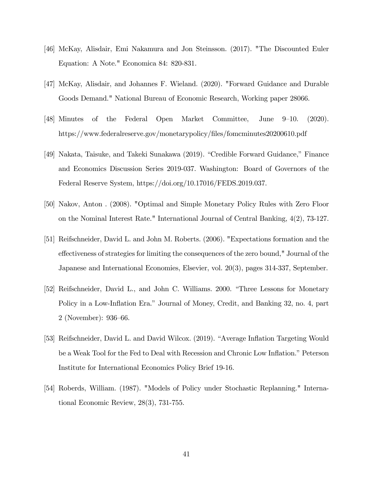- [46] McKay, Alisdair, Emi Nakamura and Jon Steinsson. (2017). "The Discounted Euler Equation: A Note." Economica 84: 820-831.
- [47] McKay, Alisdair, and Johannes F. Wieland. (2020). "Forward Guidance and Durable Goods Demand." National Bureau of Economic Research, Working paper 28066.
- $[48]$  Minutes of the Federal Open Market Committee, June 9–10. (2020). https://www.federalreserve.gov/monetarypolicy/Öles/fomcminutes20200610.pdf
- [49] Nakata, Taisuke, and Takeki Sunakawa (2019). "Credible Forward Guidance," Finance and Economics Discussion Series 2019-037. Washington: Board of Governors of the Federal Reserve System, https://doi.org/10.17016/FEDS.2019.037.
- [50] Nakov, Anton . (2008). "Optimal and Simple Monetary Policy Rules with Zero Floor on the Nominal Interest Rate." International Journal of Central Banking, 4(2), 73-127.
- [51] Reifschneider, David L. and John M. Roberts. (2006). "Expectations formation and the effectiveness of strategies for limiting the consequences of the zero bound," Journal of the Japanese and International Economies, Elsevier, vol. 20(3), pages 314-337, September.
- [52] Reifschneider, David L., and John C. Williams. 2000. "Three Lessons for Monetary Policy in a Low-Inflation Era." Journal of Money, Credit, and Banking 32, no. 4, part  $2$  (November): 936–66.
- [53] Reifschneider, David L. and David Wilcox. (2019). "Average Inflation Targeting Would be a Weak Tool for the Fed to Deal with Recession and Chronic Low Inflation." Peterson Institute for International Economics Policy Brief 19-16.
- [54] Roberds, William. (1987). "Models of Policy under Stochastic Replanning." International Economic Review, 28(3), 731-755.